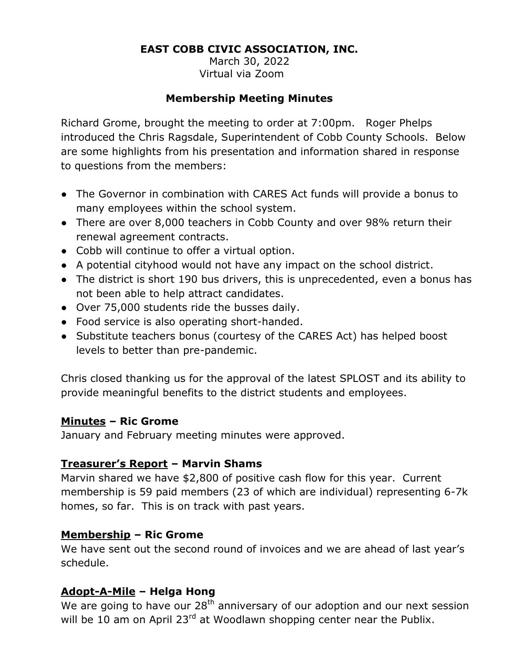## **EAST COBB CIVIC ASSOCIATION, INC.**

March 30, 2022 Virtual via Zoom

#### **Membership Meeting Minutes**

Richard Grome, brought the meeting to order at 7:00pm. Roger Phelps introduced the Chris Ragsdale, Superintendent of Cobb County Schools. Below are some highlights from his presentation and information shared in response to questions from the members:

- The Governor in combination with CARES Act funds will provide a bonus to many employees within the school system.
- There are over 8,000 teachers in Cobb County and over 98% return their renewal agreement contracts.
- Cobb will continue to offer a virtual option.
- A potential cityhood would not have any impact on the school district.
- The district is short 190 bus drivers, this is unprecedented, even a bonus has not been able to help attract candidates.
- Over 75,000 students ride the busses daily.
- Food service is also operating short-handed.
- Substitute teachers bonus (courtesy of the CARES Act) has helped boost levels to better than pre-pandemic.

Chris closed thanking us for the approval of the latest SPLOST and its ability to provide meaningful benefits to the district students and employees.

## **Minutes – Ric Grome**

January and February meeting minutes were approved.

## **Treasurer's Report – Marvin Shams**

Marvin shared we have \$2,800 of positive cash flow for this year. Current membership is 59 paid members (23 of which are individual) representing 6-7k homes, so far. This is on track with past years.

## **Membership – Ric Grome**

We have sent out the second round of invoices and we are ahead of last year's schedule.

## **Adopt-A-Mile – Helga Hong**

We are going to have our  $28<sup>th</sup>$  anniversary of our adoption and our next session will be 10 am on April 23<sup>rd</sup> at Woodlawn shopping center near the Publix.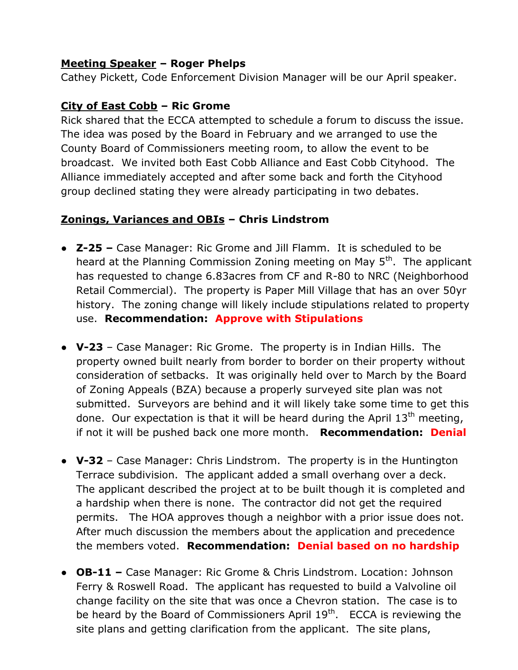## **Meeting Speaker – Roger Phelps**

Cathey Pickett, Code Enforcement Division Manager will be our April speaker.

#### **City of East Cobb – Ric Grome**

Rick shared that the ECCA attempted to schedule a forum to discuss the issue. The idea was posed by the Board in February and we arranged to use the County Board of Commissioners meeting room, to allow the event to be broadcast. We invited both East Cobb Alliance and East Cobb Cityhood. The Alliance immediately accepted and after some back and forth the Cityhood group declined stating they were already participating in two debates.

## **Zonings, Variances and OBIs – Chris Lindstrom**

- **Z-25 –** Case Manager: Ric Grome and Jill Flamm. It is scheduled to be heard at the Planning Commission Zoning meeting on May 5<sup>th</sup>. The applicant has requested to change 6.83acres from CF and R-80 to NRC (Neighborhood Retail Commercial). The property is Paper Mill Village that has an over 50yr history. The zoning change will likely include stipulations related to property use. **Recommendation: Approve with Stipulations**
- **V-23**  Case Manager: Ric Grome. The property is in Indian Hills. The property owned built nearly from border to border on their property without consideration of setbacks. It was originally held over to March by the Board of Zoning Appeals (BZA) because a properly surveyed site plan was not submitted. Surveyors are behind and it will likely take some time to get this done. Our expectation is that it will be heard during the April  $13<sup>th</sup>$  meeting, if not it will be pushed back one more month. **Recommendation: Denial**
- **V-32**  Case Manager: Chris Lindstrom. The property is in the Huntington Terrace subdivision. The applicant added a small overhang over a deck. The applicant described the project at to be built though it is completed and a hardship when there is none. The contractor did not get the required permits. The HOA approves though a neighbor with a prior issue does not. After much discussion the members about the application and precedence the members voted. **Recommendation: Denial based on no hardship**
- **OB-11 –** Case Manager: Ric Grome & Chris Lindstrom. Location: Johnson Ferry & Roswell Road. The applicant has requested to build a Valvoline oil change facility on the site that was once a Chevron station. The case is to be heard by the Board of Commissioners April  $19<sup>th</sup>$ . ECCA is reviewing the site plans and getting clarification from the applicant. The site plans,